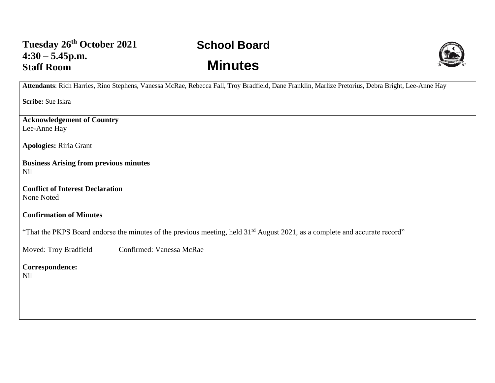## **School Board Minutes**



**Attendants**: Rich Harries, Rino Stephens, Vanessa McRae, Rebecca Fall, Troy Bradfield, Dane Franklin, Marlize Pretorius, Debra Bright, Lee-Anne Hay

**Scribe:** Sue Iskra

**Acknowledgement of Country** Lee-Anne Hay

**Apologies:** Riria Grant

**Business Arising from previous minutes** Nil

**Conflict of Interest Declaration** None Noted

## **Confirmation of Minutes**

"That the PKPS Board endorse the minutes of the previous meeting, held 31<sup>rd</sup> August 2021, as a complete and accurate record"

Moved: Troy Bradfield Confirmed: Vanessa McRae

**Correspondence:**  Nil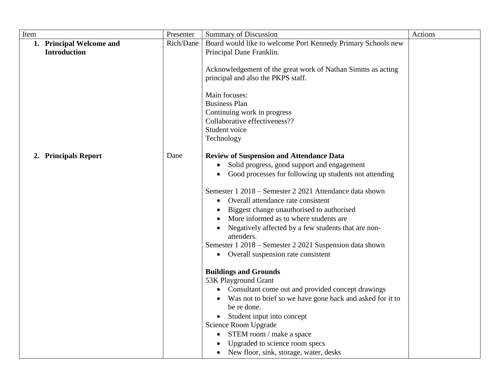| Item |                          | Presenter | <b>Summary of Discussion</b>                                                                                                                                                                                                                                                                                                                                                         | Actions |
|------|--------------------------|-----------|--------------------------------------------------------------------------------------------------------------------------------------------------------------------------------------------------------------------------------------------------------------------------------------------------------------------------------------------------------------------------------------|---------|
|      | 1. Principal Welcome and | Rich/Dane | Board would like to welcome Port Kennedy Primary Schools new                                                                                                                                                                                                                                                                                                                         |         |
|      | <b>Introduction</b>      |           | Principal Dane Franklin.                                                                                                                                                                                                                                                                                                                                                             |         |
|      |                          |           | Acknowledgement of the great work of Nathan Simms as acting<br>principal and also the PKPS staff.                                                                                                                                                                                                                                                                                    |         |
|      |                          |           | Main focuses:<br><b>Business Plan</b><br>Continuing work in progress<br>Collaborative effectiveness??<br>Student voice<br>Technology                                                                                                                                                                                                                                                 |         |
|      | <b>Principals Report</b> | Dane      | <b>Review of Suspension and Attendance Data</b>                                                                                                                                                                                                                                                                                                                                      |         |
|      |                          |           | Solid progress, good support and engagement                                                                                                                                                                                                                                                                                                                                          |         |
|      |                          |           | Good processes for following up students not attending                                                                                                                                                                                                                                                                                                                               |         |
|      |                          |           | Semester 1 2018 – Semester 2 2021 Attendance data shown<br>Overall attendance rate consistent<br>$\bullet$<br>Biggest change unauthorised to authorised<br>More informed as to where students are<br>Negatively affected by a few students that are non-<br>attenders.<br>Semester 1 2018 - Semester 2 2021 Suspension data shown<br>Overall suspension rate consistent<br>$\bullet$ |         |
|      |                          |           | <b>Buildings and Grounds</b>                                                                                                                                                                                                                                                                                                                                                         |         |
|      |                          |           | 53K Playground Grant                                                                                                                                                                                                                                                                                                                                                                 |         |
|      |                          |           | Consultant come out and provided concept drawings                                                                                                                                                                                                                                                                                                                                    |         |
|      |                          |           | Was not to brief so we have gone back and asked for it to<br>be re done.                                                                                                                                                                                                                                                                                                             |         |
|      |                          |           | Student input into concept                                                                                                                                                                                                                                                                                                                                                           |         |
|      |                          |           | Science Room Upgrade                                                                                                                                                                                                                                                                                                                                                                 |         |
|      |                          |           | STEM room / make a space                                                                                                                                                                                                                                                                                                                                                             |         |
|      |                          |           | Upgraded to science room specs                                                                                                                                                                                                                                                                                                                                                       |         |
|      |                          |           | New floor, sink, storage, water, desks                                                                                                                                                                                                                                                                                                                                               |         |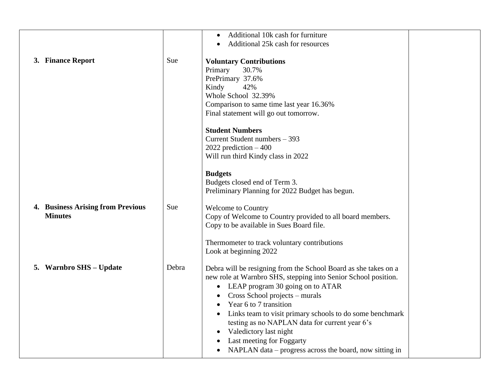|                                             |       | Additional 10k cash for furniture                                                                                                 |  |
|---------------------------------------------|-------|-----------------------------------------------------------------------------------------------------------------------------------|--|
|                                             |       | Additional 25k cash for resources                                                                                                 |  |
|                                             |       |                                                                                                                                   |  |
| 3. Finance Report                           | Sue   | <b>Voluntary Contributions</b>                                                                                                    |  |
|                                             |       | Primary<br>30.7%                                                                                                                  |  |
|                                             |       | PrePrimary 37.6%                                                                                                                  |  |
|                                             |       | Kindy<br>42%                                                                                                                      |  |
|                                             |       | Whole School 32.39%                                                                                                               |  |
|                                             |       | Comparison to same time last year 16.36%                                                                                          |  |
|                                             |       | Final statement will go out tomorrow.                                                                                             |  |
|                                             |       | <b>Student Numbers</b>                                                                                                            |  |
|                                             |       | Current Student numbers - 393                                                                                                     |  |
|                                             |       | 2022 prediction $-400$                                                                                                            |  |
|                                             |       | Will run third Kindy class in 2022                                                                                                |  |
|                                             |       |                                                                                                                                   |  |
|                                             |       | <b>Budgets</b>                                                                                                                    |  |
|                                             |       | Budgets closed end of Term 3.                                                                                                     |  |
|                                             |       | Preliminary Planning for 2022 Budget has begun.                                                                                   |  |
| <b>Business Arising from Previous</b><br>4. | Sue   | <b>Welcome to Country</b>                                                                                                         |  |
| <b>Minutes</b>                              |       | Copy of Welcome to Country provided to all board members.                                                                         |  |
|                                             |       | Copy to be available in Sues Board file.                                                                                          |  |
|                                             |       |                                                                                                                                   |  |
|                                             |       | Thermometer to track voluntary contributions                                                                                      |  |
|                                             |       | Look at beginning 2022                                                                                                            |  |
| <b>Warnbro SHS – Update</b><br>5.           | Debra |                                                                                                                                   |  |
|                                             |       | Debra will be resigning from the School Board as she takes on a<br>new role at Warnbro SHS, stepping into Senior School position. |  |
|                                             |       | LEAP program 30 going on to ATAR<br>$\bullet$                                                                                     |  |
|                                             |       | Cross School projects - murals                                                                                                    |  |
|                                             |       | Year 6 to 7 transition                                                                                                            |  |
|                                             |       | Links team to visit primary schools to do some benchmark                                                                          |  |
|                                             |       | testing as no NAPLAN data for current year 6's                                                                                    |  |
|                                             |       | Valedictory last night                                                                                                            |  |
|                                             |       | Last meeting for Foggarty                                                                                                         |  |
|                                             |       | NAPLAN data – progress across the board, now sitting in                                                                           |  |
|                                             |       |                                                                                                                                   |  |